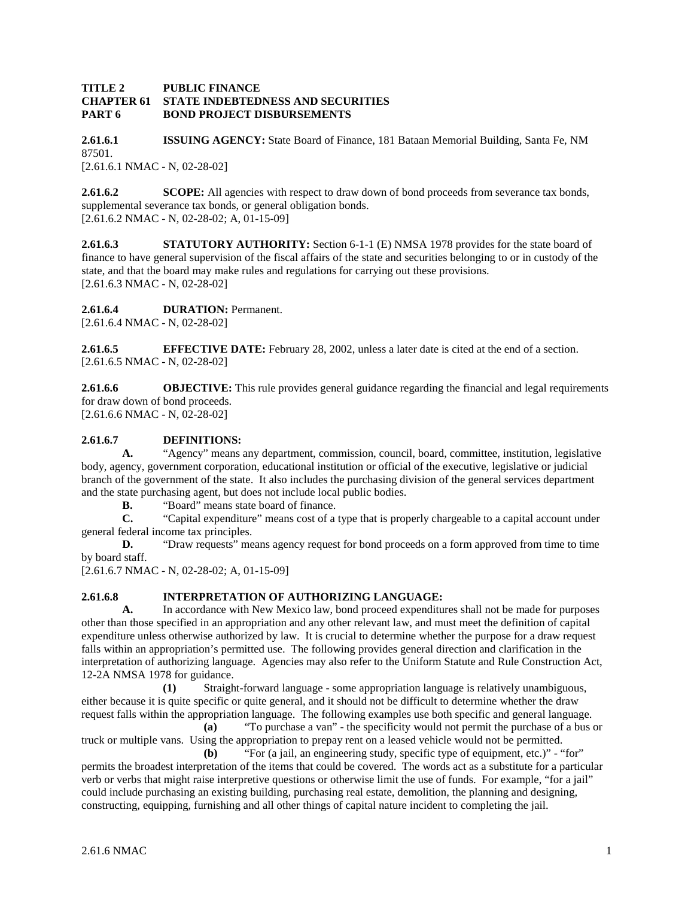### **TITLE 2 PUBLIC FINANCE CHAPTER 61 STATE INDEBTEDNESS AND SECURITIES PART 6 BOND PROJECT DISBURSEMENTS**

**2.61.6.1 ISSUING AGENCY:** State Board of Finance, 181 Bataan Memorial Building, Santa Fe, NM 87501. [2.61.6.1 NMAC - N, 02-28-02]

**2.61.6.2 SCOPE:** All agencies with respect to draw down of bond proceeds from severance tax bonds, supplemental severance tax bonds, or general obligation bonds. [2.61.6.2 NMAC - N, 02-28-02; A, 01-15-09]

**2.61.6.3 STATUTORY AUTHORITY:** Section 6-1-1 (E) NMSA 1978 provides for the state board of finance to have general supervision of the fiscal affairs of the state and securities belonging to or in custody of the state, and that the board may make rules and regulations for carrying out these provisions. [2.61.6.3 NMAC - N, 02-28-02]

# **2.61.6.4 DURATION:** Permanent.

[2.61.6.4 NMAC - N, 02-28-02]

**2.61.6.5 EFFECTIVE DATE:** February 28, 2002, unless a later date is cited at the end of a section. [2.61.6.5 NMAC - N, 02-28-02]

**2.61.6.6 OBJECTIVE:** This rule provides general guidance regarding the financial and legal requirements for draw down of bond proceeds. [2.61.6.6 NMAC - N, 02-28-02]

# **2.61.6.7 DEFINITIONS:**

**A.** "Agency" means any department, commission, council, board, committee, institution, legislative body, agency, government corporation, educational institution or official of the executive, legislative or judicial branch of the government of the state. It also includes the purchasing division of the general services department and the state purchasing agent, but does not include local public bodies.

**B.** "Board" means state board of finance.

**C.** "Capital expenditure" means cost of a type that is properly chargeable to a capital account under general federal income tax principles.

**D.** "Draw requests" means agency request for bond proceeds on a form approved from time to time by board staff.

[2.61.6.7 NMAC - N, 02-28-02; A, 01-15-09]

# **2.61.6.8 INTERPRETATION OF AUTHORIZING LANGUAGE:**

**A.** In accordance with New Mexico law, bond proceed expenditures shall not be made for purposes other than those specified in an appropriation and any other relevant law, and must meet the definition of capital expenditure unless otherwise authorized by law. It is crucial to determine whether the purpose for a draw request falls within an appropriation's permitted use. The following provides general direction and clarification in the interpretation of authorizing language. Agencies may also refer to the Uniform Statute and Rule Construction Act, 12-2A NMSA 1978 for guidance.

**(1)** Straight-forward language - some appropriation language is relatively unambiguous, either because it is quite specific or quite general, and it should not be difficult to determine whether the draw request falls within the appropriation language. The following examples use both specific and general language.

**(a)** "To purchase a van" - the specificity would not permit the purchase of a bus or truck or multiple vans. Using the appropriation to prepay rent on a leased vehicle would not be permitted. **(b)** "For (a jail, an engineering study, specific type of equipment, etc.)" - "for"

permits the broadest interpretation of the items that could be covered. The words act as a substitute for a particular verb or verbs that might raise interpretive questions or otherwise limit the use of funds. For example, "for a jail" could include purchasing an existing building, purchasing real estate, demolition, the planning and designing, constructing, equipping, furnishing and all other things of capital nature incident to completing the jail.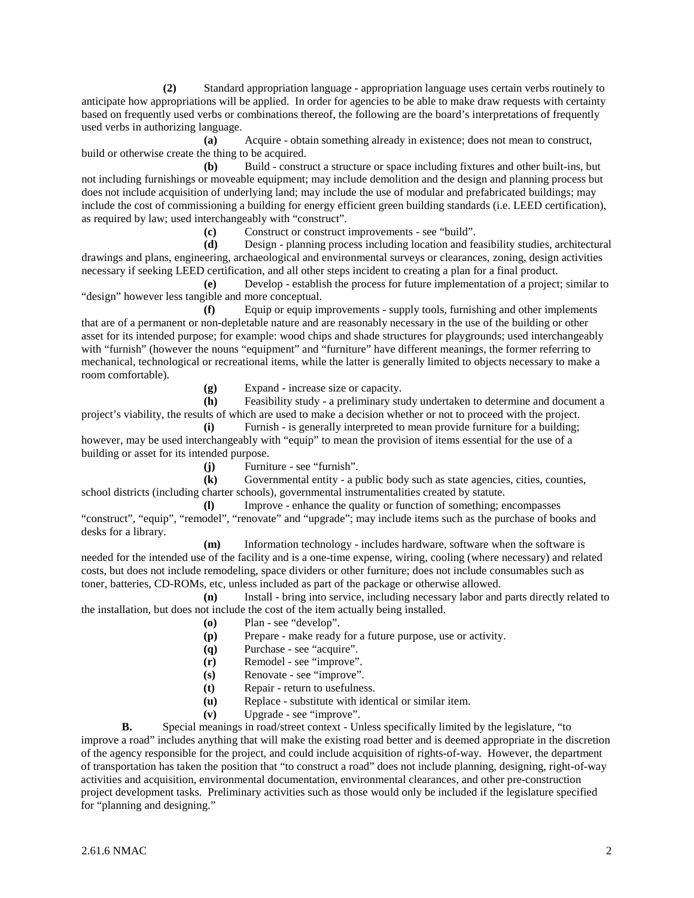**(2)** Standard appropriation language - appropriation language uses certain verbs routinely to anticipate how appropriations will be applied. In order for agencies to be able to make draw requests with certainty based on frequently used verbs or combinations thereof, the following are the board's interpretations of frequently used verbs in authorizing language.

**(a)** Acquire - obtain something already in existence; does not mean to construct, build or otherwise create the thing to be acquired.

**(b)** Build - construct a structure or space including fixtures and other built-ins, but not including furnishings or moveable equipment; may include demolition and the design and planning process but does not include acquisition of underlying land; may include the use of modular and prefabricated buildings; may include the cost of commissioning a building for energy efficient green building standards (i.e. LEED certification), as required by law; used interchangeably with "construct".

**(c)** Construct or construct improvements - see "build".

**(d)** Design - planning process including location and feasibility studies, architectural drawings and plans, engineering, archaeological and environmental surveys or clearances, zoning, design activities necessary if seeking LEED certification, and all other steps incident to creating a plan for a final product.

**(e)** Develop - establish the process for future implementation of a project; similar to "design" however less tangible and more conceptual.

**(f)** Equip or equip improvements - supply tools, furnishing and other implements that are of a permanent or non-depletable nature and are reasonably necessary in the use of the building or other asset for its intended purpose; for example: wood chips and shade structures for playgrounds; used interchangeably with "furnish" (however the nouns "equipment" and "furniture" have different meanings, the former referring to mechanical, technological or recreational items, while the latter is generally limited to objects necessary to make a room comfortable).

**(g)** Expand - increase size or capacity.

**(h)** Feasibility study - a preliminary study undertaken to determine and document a project's viability, the results of which are used to make a decision whether or not to proceed with the project.

**(i)** Furnish - is generally interpreted to mean provide furniture for a building; however, may be used interchangeably with "equip" to mean the provision of items essential for the use of a building or asset for its intended purpose.

**(j)** Furniture - see "furnish".

**(k)** Governmental entity - a public body such as state agencies, cities, counties, school districts (including charter schools), governmental instrumentalities created by statute.

**(l)** Improve - enhance the quality or function of something; encompasses "construct", "equip", "remodel", "renovate" and "upgrade"; may include items such as the purchase of books and desks for a library.

**(m)** Information technology - includes hardware, software when the software is needed for the intended use of the facility and is a one-time expense, wiring, cooling (where necessary) and related costs, but does not include remodeling, space dividers or other furniture; does not include consumables such as toner, batteries, CD-ROMs, etc, unless included as part of the package or otherwise allowed.

**(n)** Install - bring into service, including necessary labor and parts directly related to the installation, but does not include the cost of the item actually being installed.

- **(o)** Plan see "develop".
- **(p)** Prepare make ready for a future purpose, use or activity.
- **(q)** Purchase see "acquire".
- **(r)** Remodel see "improve".
- **(s)** Renovate see "improve".
- **(t)** Repair return to usefulness.
- **(u)** Replace substitute with identical or similar item.
- **(v)** Upgrade see "improve".

**B.** Special meanings in road/street context - Unless specifically limited by the legislature, "to improve a road" includes anything that will make the existing road better and is deemed appropriate in the discretion of the agency responsible for the project, and could include acquisition of rights-of-way. However, the department of transportation has taken the position that "to construct a road" does not include planning, designing, right-of-way activities and acquisition, environmental documentation, environmental clearances, and other pre-construction project development tasks. Preliminary activities such as those would only be included if the legislature specified for "planning and designing."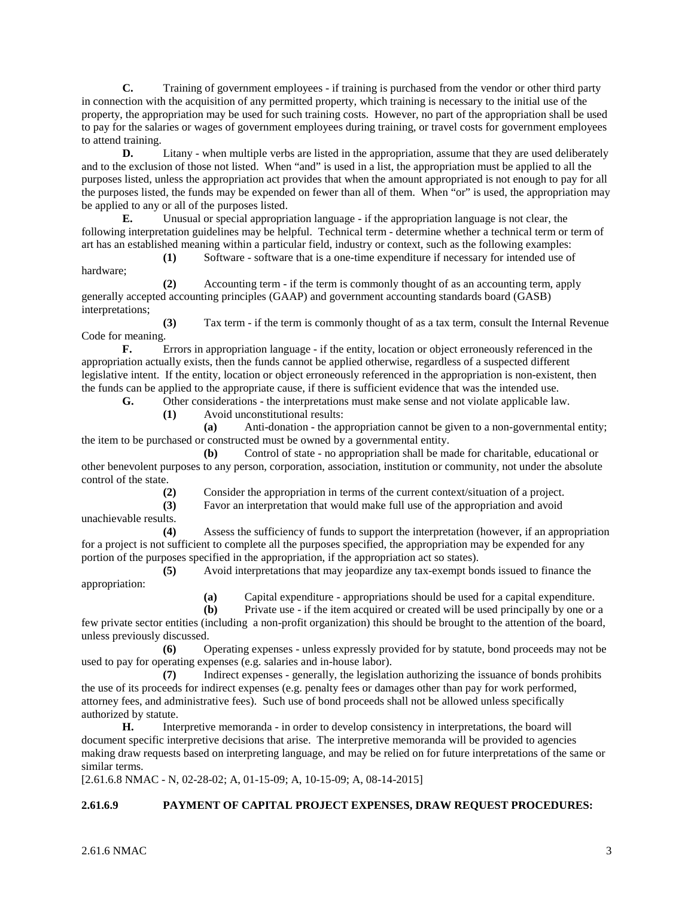**C.** Training of government employees - if training is purchased from the vendor or other third party in connection with the acquisition of any permitted property, which training is necessary to the initial use of the property, the appropriation may be used for such training costs. However, no part of the appropriation shall be used to pay for the salaries or wages of government employees during training, or travel costs for government employees to attend training.

**D.** Litany - when multiple verbs are listed in the appropriation, assume that they are used deliberately and to the exclusion of those not listed. When "and" is used in a list, the appropriation must be applied to all the purposes listed, unless the appropriation act provides that when the amount appropriated is not enough to pay for all the purposes listed, the funds may be expended on fewer than all of them. When "or" is used, the appropriation may be applied to any or all of the purposes listed.

**E.** Unusual or special appropriation language - if the appropriation language is not clear, the following interpretation guidelines may be helpful. Technical term - determine whether a technical term or term of art has an established meaning within a particular field, industry or context, such as the following examples:

**(1)** Software - software that is a one-time expenditure if necessary for intended use of hardware;

**(2)** Accounting term - if the term is commonly thought of as an accounting term, apply generally accepted accounting principles (GAAP) and government accounting standards board (GASB) interpretations;

**(3)** Tax term - if the term is commonly thought of as a tax term, consult the Internal Revenue Code for meaning.

**F.** Errors in appropriation language - if the entity, location or object erroneously referenced in the appropriation actually exists, then the funds cannot be applied otherwise, regardless of a suspected different legislative intent. If the entity, location or object erroneously referenced in the appropriation is non-existent, then the funds can be applied to the appropriate cause, if there is sufficient evidence that was the intended use.

**G.** Other considerations - the interpretations must make sense and not violate applicable law.

**(1)** Avoid unconstitutional results:

**(a)** Anti-donation - the appropriation cannot be given to a non-governmental entity; the item to be purchased or constructed must be owned by a governmental entity.

**(b)** Control of state - no appropriation shall be made for charitable, educational or other benevolent purposes to any person, corporation, association, institution or community, not under the absolute control of the state.

**(2)** Consider the appropriation in terms of the current context/situation of a project.

**(3)** Favor an interpretation that would make full use of the appropriation and avoid

unachievable results.

**(4)** Assess the sufficiency of funds to support the interpretation (however, if an appropriation for a project is not sufficient to complete all the purposes specified, the appropriation may be expended for any portion of the purposes specified in the appropriation, if the appropriation act so states).

**(5)** Avoid interpretations that may jeopardize any tax-exempt bonds issued to finance the appropriation:

**(a)** Capital expenditure - appropriations should be used for a capital expenditure.

**(b)** Private use - if the item acquired or created will be used principally by one or a few private sector entities (including a non-profit organization) this should be brought to the attention of the board, unless previously discussed.

**(6)** Operating expenses - unless expressly provided for by statute, bond proceeds may not be used to pay for operating expenses (e.g. salaries and in-house labor).

**(7)** Indirect expenses - generally, the legislation authorizing the issuance of bonds prohibits the use of its proceeds for indirect expenses (e.g. penalty fees or damages other than pay for work performed, attorney fees, and administrative fees). Such use of bond proceeds shall not be allowed unless specifically authorized by statute.

**H.** Interpretive memoranda - in order to develop consistency in interpretations, the board will document specific interpretive decisions that arise. The interpretive memoranda will be provided to agencies making draw requests based on interpreting language, and may be relied on for future interpretations of the same or similar terms.

[2.61.6.8 NMAC - N, 02-28-02; A, 01-15-09; A, 10-15-09; A, 08-14-2015]

### **2.61.6.9 PAYMENT OF CAPITAL PROJECT EXPENSES, DRAW REQUEST PROCEDURES:**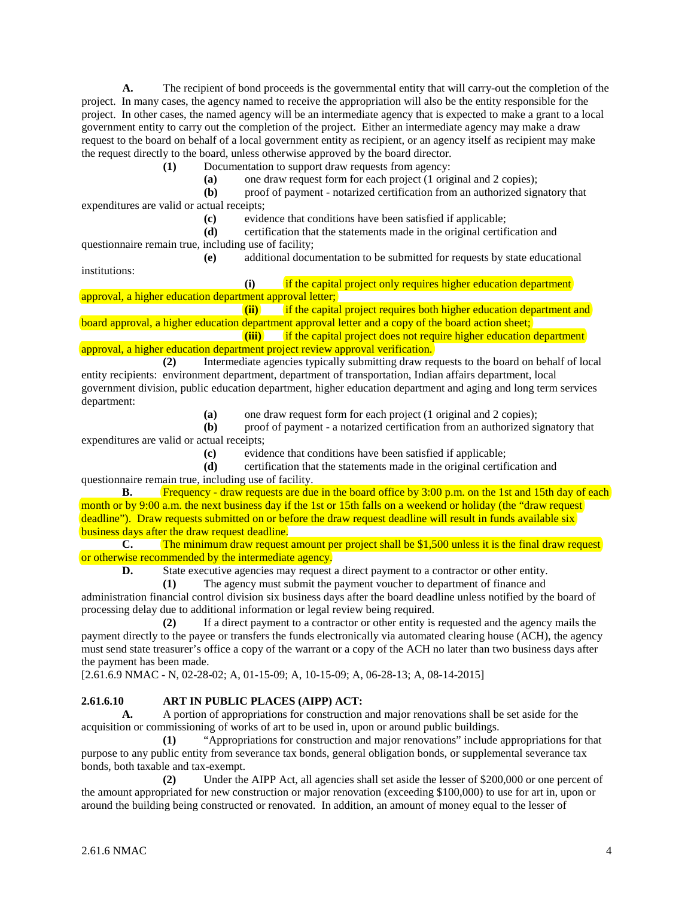**A.** The recipient of bond proceeds is the governmental entity that will carry-out the completion of the project. In many cases, the agency named to receive the appropriation will also be the entity responsible for the project. In other cases, the named agency will be an intermediate agency that is expected to make a grant to a local government entity to carry out the completion of the project. Either an intermediate agency may make a draw request to the board on behalf of a local government entity as recipient, or an agency itself as recipient may make the request directly to the board, unless otherwise approved by the board director.

**(1)** Documentation to support draw requests from agency:

**(a)** one draw request form for each project (1 original and 2 copies);

 **(b)** proof of payment - notarized certification from an authorized signatory that expenditures are valid or actual receipts;

**(c)** evidence that conditions have been satisfied if applicable;

 **(d)** certification that the statements made in the original certification and questionnaire remain true, including use of facility;

 **(e)** additional documentation to be submitted for requests by state educational institutions:

 **(i)** if the capital project only requires higher education department approval, a higher education department approval letter;

**(ii)** if the capital project requires both higher education department and board approval, a higher education department approval letter and a copy of the board action sheet;

**(iii)** if the capital project does not require higher education department approval, a higher education department project review approval verification.

 **(2)** Intermediate agencies typically submitting draw requests to the board on behalf of local entity recipients: environment department, department of transportation, Indian affairs department, local government division, public education department, higher education department and aging and long term services department:

**(a)** one draw request form for each project (1 original and 2 copies);

 **(b)** proof of payment - a notarized certification from an authorized signatory that expenditures are valid or actual receipts;

**(c)** evidence that conditions have been satisfied if applicable;

 **(d)** certification that the statements made in the original certification and questionnaire remain true, including use of facility.

**B.** Frequency - draw requests are due in the board office by 3:00 p.m. on the 1st and 15th day of each month or by 9:00 a.m. the next business day if the 1st or 15th falls on a weekend or holiday (the "draw request) deadline"). Draw requests submitted on or before the draw request deadline will result in funds available six business days after the draw request deadline.

**C.** The minimum draw request amount per project shall be \$1,500 unless it is the final draw request or otherwise recommended by the intermediate agency.

**D.** State executive agencies may request a direct payment to a contractor or other entity.

 **(1)** The agency must submit the payment voucher to department of finance and administration financial control division six business days after the board deadline unless notified by the board of processing delay due to additional information or legal review being required.

 **(2)** If a direct payment to a contractor or other entity is requested and the agency mails the payment directly to the payee or transfers the funds electronically via automated clearing house (ACH), the agency must send state treasurer's office a copy of the warrant or a copy of the ACH no later than two business days after the payment has been made.

[2.61.6.9 NMAC - N, 02-28-02; A, 01-15-09; A, 10-15-09; A, 06-28-13; A, 08-14-2015]

### **2.61.6.10 ART IN PUBLIC PLACES (AIPP) ACT:**

**A.** A portion of appropriations for construction and major renovations shall be set aside for the acquisition or commissioning of works of art to be used in, upon or around public buildings.

 **(1)** "Appropriations for construction and major renovations" include appropriations for that purpose to any public entity from severance tax bonds, general obligation bonds, or supplemental severance tax bonds, both taxable and tax-exempt.

 **(2)** Under the AIPP Act, all agencies shall set aside the lesser of \$200,000 or one percent of the amount appropriated for new construction or major renovation (exceeding \$100,000) to use for art in, upon or around the building being constructed or renovated. In addition, an amount of money equal to the lesser of